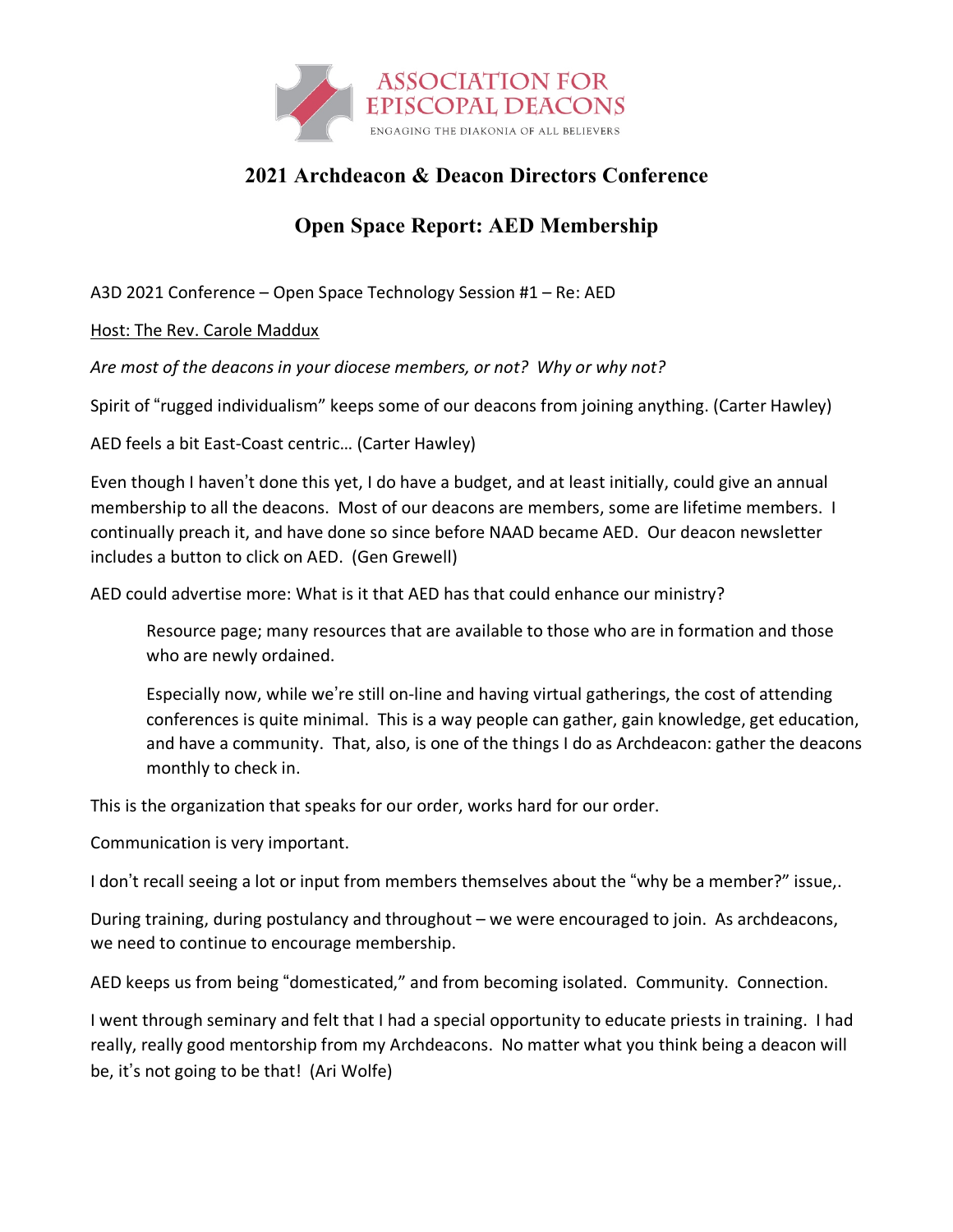

## **2021 Archdeacon & Deacon Directors Conference**

## **Open Space Report: AED Membership**

A3D 2021 Conference – Open Space Technology Session #1 – Re: AED

Host: The Rev. Carole Maddux

*Are most of the deacons in your diocese members, or not? Why or why not?*

Spirit of "rugged individualism" keeps some of our deacons from joining anything. (Carter Hawley)

AED feels a bit East-Coast centric… (Carter Hawley)

Even though I haven't done this yet, I do have a budget, and at least initially, could give an annual membership to all the deacons. Most of our deacons are members, some are lifetime members. I continually preach it, and have done so since before NAAD became AED. Our deacon newsletter includes a button to click on AED. (Gen Grewell)

AED could advertise more: What is it that AED has that could enhance our ministry?

Resource page; many resources that are available to those who are in formation and those who are newly ordained.

Especially now, while we're still on-line and having virtual gatherings, the cost of attending conferences is quite minimal. This is a way people can gather, gain knowledge, get education, and have a community. That, also, is one of the things I do as Archdeacon: gather the deacons monthly to check in.

This is the organization that speaks for our order, works hard for our order.

Communication is very important.

I don't recall seeing a lot or input from members themselves about the "why be a member?" issue,.

During training, during postulancy and throughout – we were encouraged to join. As archdeacons, we need to continue to encourage membership.

AED keeps us from being "domesticated," and from becoming isolated. Community. Connection.

I went through seminary and felt that I had a special opportunity to educate priests in training. I had really, really good mentorship from my Archdeacons. No matter what you think being a deacon will be, it's not going to be that! (Ari Wolfe)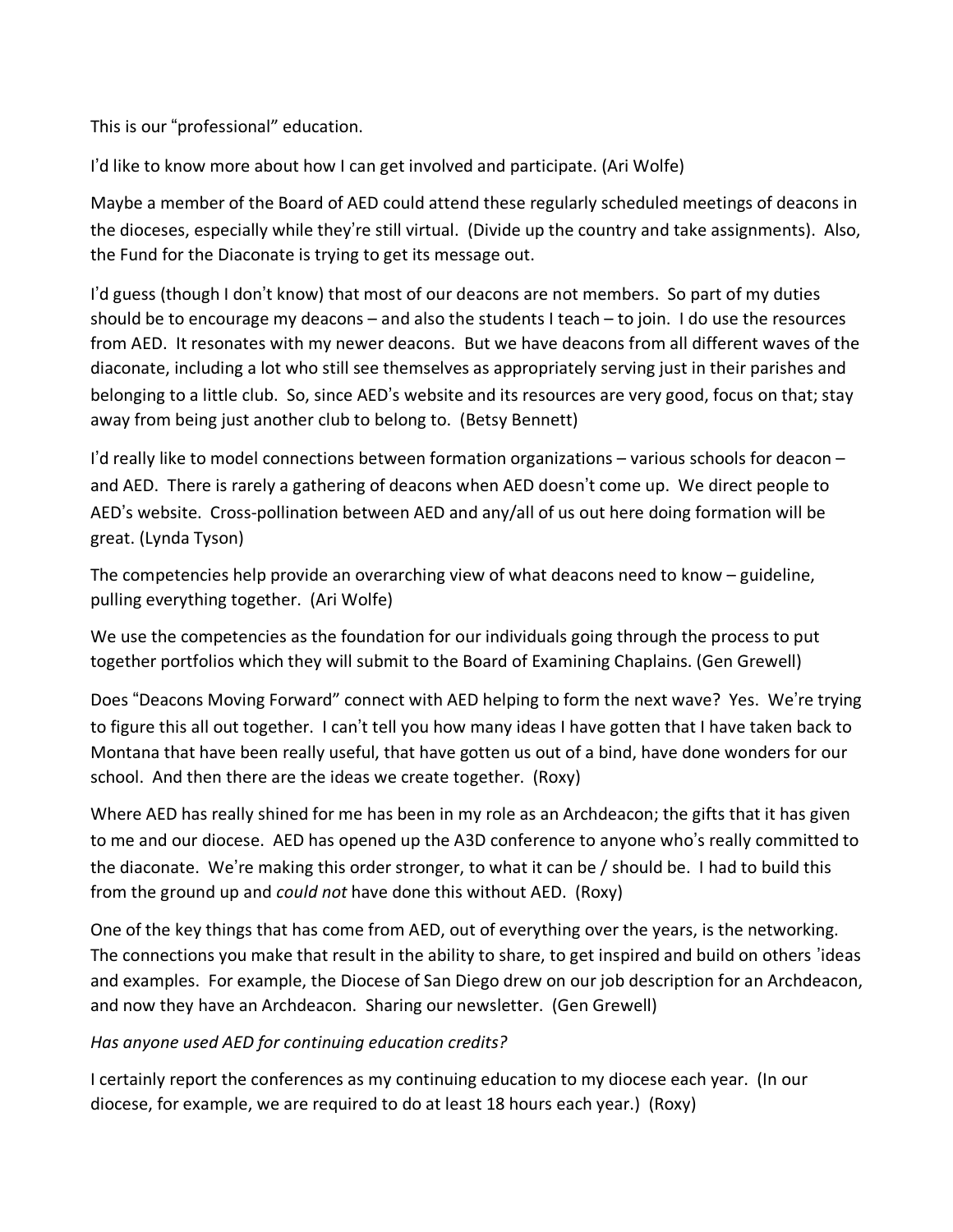This is our "professional" education.

I'd like to know more about how I can get involved and participate. (Ari Wolfe)

Maybe a member of the Board of AED could attend these regularly scheduled meetings of deacons in the dioceses, especially while they're still virtual. (Divide up the country and take assignments). Also, the Fund for the Diaconate is trying to get its message out.

I'd guess (though I don't know) that most of our deacons are not members. So part of my duties should be to encourage my deacons – and also the students I teach – to join. I do use the resources from AED. It resonates with my newer deacons. But we have deacons from all different waves of the diaconate, including a lot who still see themselves as appropriately serving just in their parishes and belonging to a little club. So, since AED's website and its resources are very good, focus on that; stay away from being just another club to belong to. (Betsy Bennett)

I'd really like to model connections between formation organizations – various schools for deacon – and AED. There is rarely a gathering of deacons when AED doesn't come up. We direct people to AED's website. Cross-pollination between AED and any/all of us out here doing formation will be great. (Lynda Tyson)

The competencies help provide an overarching view of what deacons need to know – guideline, pulling everything together. (Ari Wolfe)

We use the competencies as the foundation for our individuals going through the process to put together portfolios which they will submit to the Board of Examining Chaplains. (Gen Grewell)

Does "Deacons Moving Forward" connect with AED helping to form the next wave? Yes. We're trying to figure this all out together. I can't tell you how many ideas I have gotten that I have taken back to Montana that have been really useful, that have gotten us out of a bind, have done wonders for our school. And then there are the ideas we create together. (Roxy)

Where AED has really shined for me has been in my role as an Archdeacon; the gifts that it has given to me and our diocese. AED has opened up the A3D conference to anyone who's really committed to the diaconate. We're making this order stronger, to what it can be / should be. I had to build this from the ground up and *could not* have done this without AED. (Roxy)

One of the key things that has come from AED, out of everything over the years, is the networking. The connections you make that result in the ability to share, to get inspired and build on others 'ideas and examples. For example, the Diocese of San Diego drew on our job description for an Archdeacon, and now they have an Archdeacon. Sharing our newsletter. (Gen Grewell)

## *Has anyone used AED for continuing education credits?*

I certainly report the conferences as my continuing education to my diocese each year. (In our diocese, for example, we are required to do at least 18 hours each year.) (Roxy)